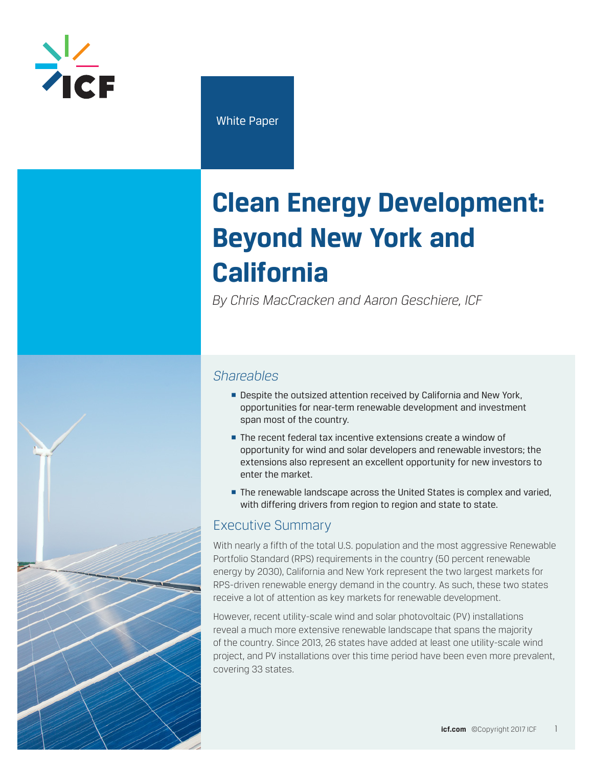

White Paper

# **Clean Energy Development: Beyond New York and California**

*By Chris MacCracken and Aaron Geschiere, ICF*



- Despite the outsized attention received by California and New York, opportunities for near-term renewable development and investment span most of the country.
- The recent federal tax incentive extensions create a window of opportunity for wind and solar developers and renewable investors; the extensions also represent an excellent opportunity for new investors to enter the market.
- The renewable landscape across the United States is complex and varied, with differing drivers from region to region and state to state.

# Executive Summary

With nearly a fifth of the total U.S. population and the most aggressive Renewable Portfolio Standard (RPS) requirements in the country (50 percent renewable energy by 2030), California and New York represent the two largest markets for RPS-driven renewable energy demand in the country. As such, these two states receive a lot of attention as key markets for renewable development.

However, recent utility-scale wind and solar photovoltaic (PV) installations reveal a much more extensive renewable landscape that spans the majority of the country. Since 2013, 26 states have added at least one utility-scale wind project, and PV installations over this time period have been even more prevalent, covering 33 states.

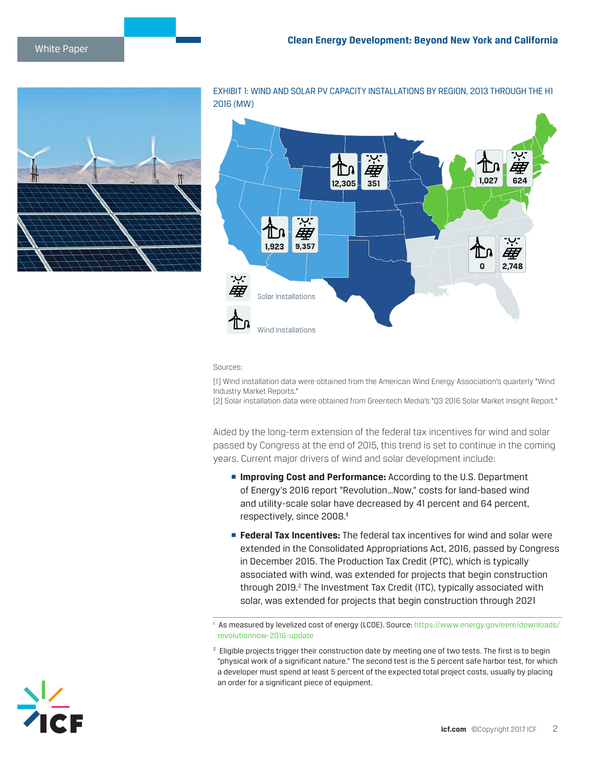

EXHIBIT 1: WIND AND SOLAR PV CAPACITY INSTALLATIONS BY REGION, 2013 THROUGH THE H1 2016 (MW)



#### Sources:

[1] Wind installation data were obtained from the American Wind Energy Association's quarterly "Wind Industry Market Reports."

[2] Solar installation data were obtained from Greentech Media's "Q3 2016 Solar Market Insight Report."

Aided by the long-term extension of the federal tax incentives for wind and solar passed by Congress at the end of 2015, this trend is set to continue in the coming years. Current major drivers of wind and solar development include:

- **<u>■ Improving Cost and Performance: According to the U.S. Department</u>** of Energy's 2016 report "Revolution…Now," costs for land-based wind and utility-scale solar have decreased by 41 percent and 64 percent, respectively, since 2008.**<sup>1</sup>**
- **Federal Tax Incentives:** The federal tax incentives for wind and solar were extended in the Consolidated Appropriations Act, 2016, passed by Congress in December 2015. The Production Tax Credit (PTC), which is typically associated with wind, was extended for projects that begin construction through 2019.<sup>2</sup> The Investment Tax Credit (ITC), typically associated with solar, was extended for projects that begin construction through 2021

<sup>1</sup> As measured by levelized cost of energy (LCOE). Source: [https://www.energy.gov/eere/downloads/](https://www.energy.gov/eere/downloads/revolutionnow-2016-update) [revolutionnow-2016-update](https://www.energy.gov/eere/downloads/revolutionnow-2016-update)



<sup>&</sup>lt;sup>2</sup> Eligible projects trigger their construction date by meeting one of two tests. The first is to begin "physical work of a significant nature." The second test is the 5 percent safe harbor test, for which a developer must spend at least 5 percent of the expected total project costs, usually by placing an order for a significant piece of equipment.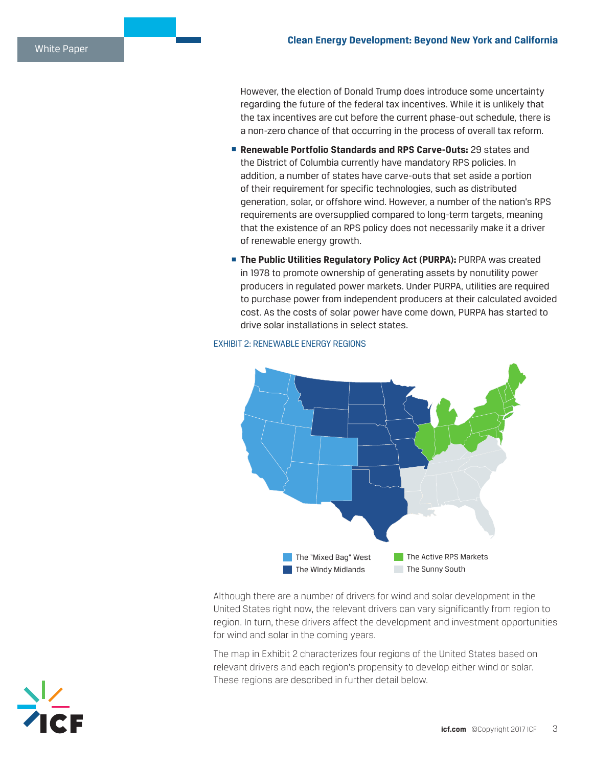However, the election of Donald Trump does introduce some uncertainty regarding the future of the federal tax incentives. While it is unlikely that the tax incentives are cut before the current phase-out schedule, there is a non-zero chance of that occurring in the process of overall tax reform.

- § **Renewable Portfolio Standards and RPS Carve-Outs:** 29 states and the District of Columbia currently have mandatory RPS policies. In addition, a number of states have carve-outs that set aside a portion of their requirement for specific technologies, such as distributed generation, solar, or offshore wind. However, a number of the nation's RPS requirements are oversupplied compared to long-term targets, meaning that the existence of an RPS policy does not necessarily make it a driver of renewable energy growth.
- **EXTER Public Utilities Regulatory Policy Act (PURPA): PURPA was created** in 1978 to promote ownership of generating assets by nonutility power producers in regulated power markets. Under PURPA, utilities are required to purchase power from independent producers at their calculated avoided cost. As the costs of solar power have come down, PURPA has started to drive solar installations in select states.

#### EXHIBIT 2: RENEWABLE ENERGY REGIONS



Although there are a number of drivers for wind and solar development in the United States right now, the relevant drivers can vary significantly from region to region. In turn, these drivers affect the development and investment opportunities for wind and solar in the coming years.

The map in Exhibit 2 characterizes four regions of the United States based on relevant drivers and each region's propensity to develop either wind or solar. These regions are described in further detail below.

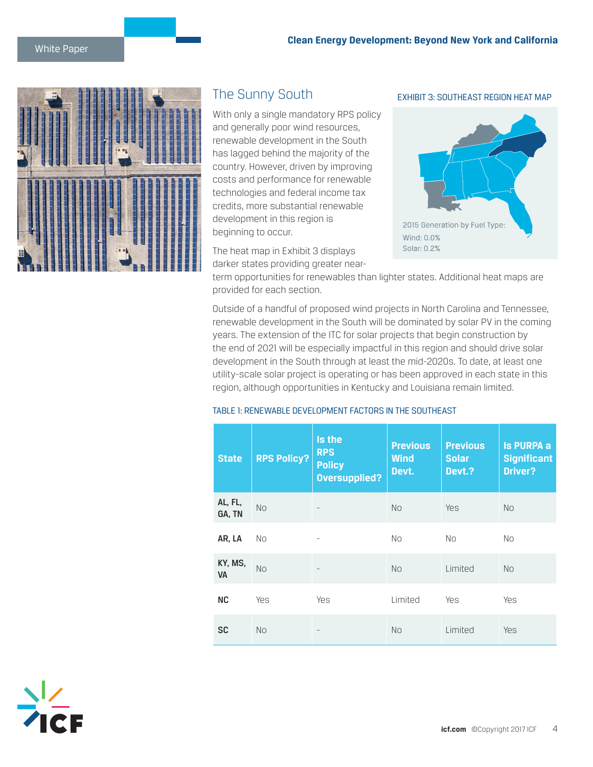

# The Sunny South

With only a single mandatory RPS policy and generally poor wind resources, renewable development in the South has lagged behind the majority of the country. However, driven by improving costs and performance for renewable technologies and federal income tax credits, more substantial renewable development in this region is beginning to occur.

The heat map in Exhibit 3 displays darker states providing greater nearEXHIBIT 3: SOUTHEAST REGION HEAT MAP



term opportunities for renewables than lighter states. Additional heat maps are provided for each section.

Outside of a handful of proposed wind projects in North Carolina and Tennessee, renewable development in the South will be dominated by solar PV in the coming years. The extension of the ITC for solar projects that begin construction by the end of 2021 will be especially impactful in this region and should drive solar development in the South through at least the mid-2020s. To date, at least one utility-scale solar project is operating or has been approved in each state in this region, although opportunities in Kentucky and Louisiana remain limited.

#### TABLE 1: RENEWABLE DEVELOPMENT FACTORS IN THE SOUTHEAST

| <b>State</b>         | <b>RPS Policy?</b> | Is the<br><b>RPS</b><br><b>Policy</b><br><b>Oversupplied?</b> | <b>Previous</b><br><b>Wind</b><br>Devt. | <b>Previous</b><br><b>Solar</b><br>Devt.? | <b>Is PURPA a</b><br><b>Significant</b><br>Driver? |
|----------------------|--------------------|---------------------------------------------------------------|-----------------------------------------|-------------------------------------------|----------------------------------------------------|
| AL, FL,<br>GA, TN    | <b>No</b>          |                                                               | <b>No</b>                               | <b>Yes</b>                                | <b>No</b>                                          |
| AR, LA               | No                 |                                                               | <b>No</b>                               | No.                                       | No                                                 |
| KY, MS,<br><b>VA</b> | <b>No</b>          |                                                               | <b>No</b>                               | Limited                                   | <b>No</b>                                          |
| <b>NC</b>            | Yes                | <b>Yes</b>                                                    | Limited                                 | <b>Yes</b>                                | <b>Yes</b>                                         |
| <b>SC</b>            | <b>No</b>          |                                                               | <b>No</b>                               | Limited                                   | <b>Yes</b>                                         |

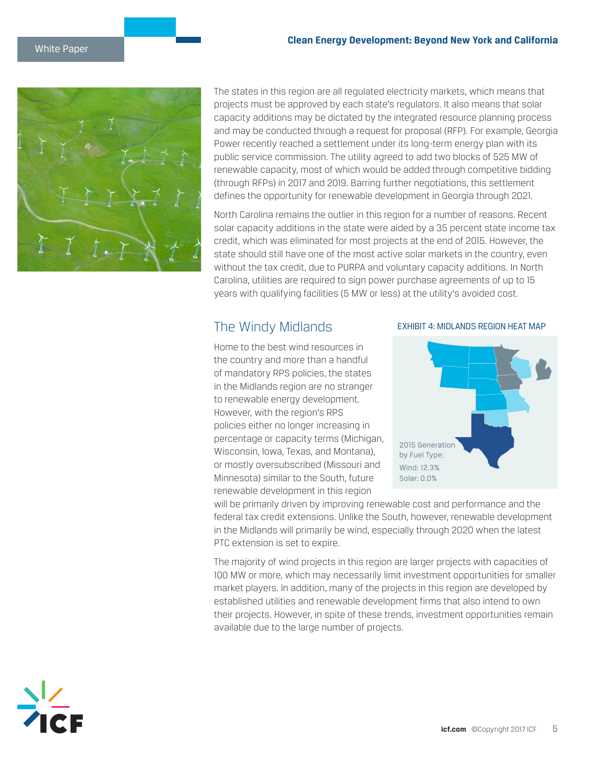

The states in this region are all regulated electricity markets, which means that projects must be approved by each state's regulators. It also means that solar capacity additions may be dictated by the integrated resource planning process and may be conducted through a request for proposal (RFP). For example, Georgia Power recently reached a settlement under its long-term energy plan with its public service commission. The utility agreed to add two blocks of 525 MW of renewable capacity, most of which would be added through competitive bidding (through RFPs) in 2017 and 2019. Barring further negotiations, this settlement defines the opportunity for renewable development in Georgia through 2021.

North Carolina remains the outlier in this region for a number of reasons. Recent solar capacity additions in the state were aided by a 35 percent state income tax credit, which was eliminated for most projects at the end of 2015. However, the state should still have one of the most active solar markets in the country, even without the tax credit, due to PURPA and voluntary capacity additions. In North Carolina, utilities are required to sign power purchase agreements of up to 15 years with qualifying facilities (5 MW or less) at the utility's avoided cost.

# The Windy Midlands

Home to the best wind resources in the country and more than a handful of mandatory RPS policies, the states in the Midlands region are no stranger to renewable energy development. However, with the region's RPS policies either no longer increasing in percentage or capacity terms (Michigan, Wisconsin, Iowa, Texas, and Montana), or mostly oversubscribed (Missouri and Minnesota) similar to the South, future renewable development in this region

#### EXHIBIT 4: MIDLANDS REGION HEAT MAP



will be primarily driven by improving renewable cost and performance and the federal tax credit extensions. Unlike the South, however, renewable development in the Midlands will primarily be wind, especially through 2020 when the latest PTC extension is set to expire.

The majority of wind projects in this region are larger projects with capacities of 100 MW or more, which may necessarily limit investment opportunities for smaller market players. In addition, many of the projects in this region are developed by established utilities and renewable development firms that also intend to own their projects. However, in spite of these trends, investment opportunities remain available due to the large number of projects.

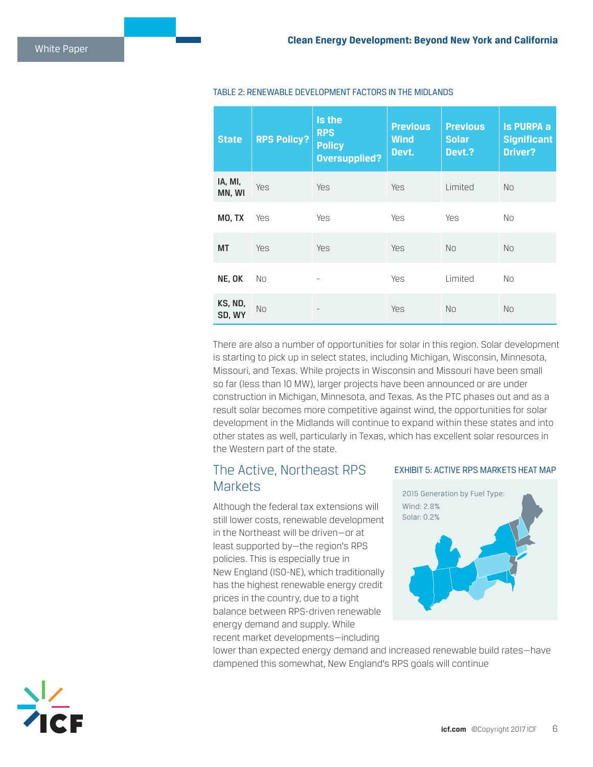| <b>State</b>      | <b>RPS Policy?</b> | Is the<br><b>RPS</b><br><b>Policy</b><br><b>Oversupplied?</b> | <b>Previous</b><br><b>Wind</b><br>Devt. | <b>Previous</b><br><b>Solar</b><br>Devt.? | <b>Is PURPA a</b><br><b>Significant</b><br>Driver? |
|-------------------|--------------------|---------------------------------------------------------------|-----------------------------------------|-------------------------------------------|----------------------------------------------------|
| IA, MI,<br>MN, WI | Yes                | Yes                                                           | <b>Yes</b>                              | Limited                                   | <b>No</b>                                          |
| MO, TX            | Yes                | Yes                                                           | Yes                                     | <b>Yes</b>                                | <b>No</b>                                          |
| <b>MT</b>         | Yes                | Yes                                                           | Yes                                     | <b>No</b>                                 | <b>No</b>                                          |
| NE, OK            | No                 |                                                               | Yes                                     | Limited                                   | <b>No</b>                                          |
| KS, ND,<br>SD, WY | No                 |                                                               | Yes                                     | No.                                       | <b>No</b>                                          |

#### TABLE 2: RENEWABLE DEVELOPMENT FACTORS IN THE MIDLANDS

There are also a number of opportunities for solar in this region. Solar development is starting to pick up in select states, including Michigan, Wisconsin, Minnesota, Missouri, and Texas. While projects in Wisconsin and Missouri have been small so far (less than 10 MW), larger projects have been announced or are under construction in Michigan, Minnesota, and Texas. As the PTC phases out and as a result solar becomes more competitive against wind, the opportunities for solar development in the Midlands will continue to expand within these states and into other states as well, particularly in Texas, which has excellent solar resources in the Western part of the state.

# The Active, Northeast RPS **Markets**

Although the federal tax extensions will still lower costs, renewable development in the Northeast will be driven—or at least supported by—the region's RPS policies. This is especially true in New England (ISO-NE), which traditionally has the highest renewable energy credit prices in the country, due to a tight balance between RPS-driven renewable energy demand and supply. While recent market developments—including

#### EXHIBIT 5: ACTIVE RPS MARKETS HEAT MAP



lower than expected energy demand and increased renewable build rates—have dampened this somewhat, New England's RPS goals will continue

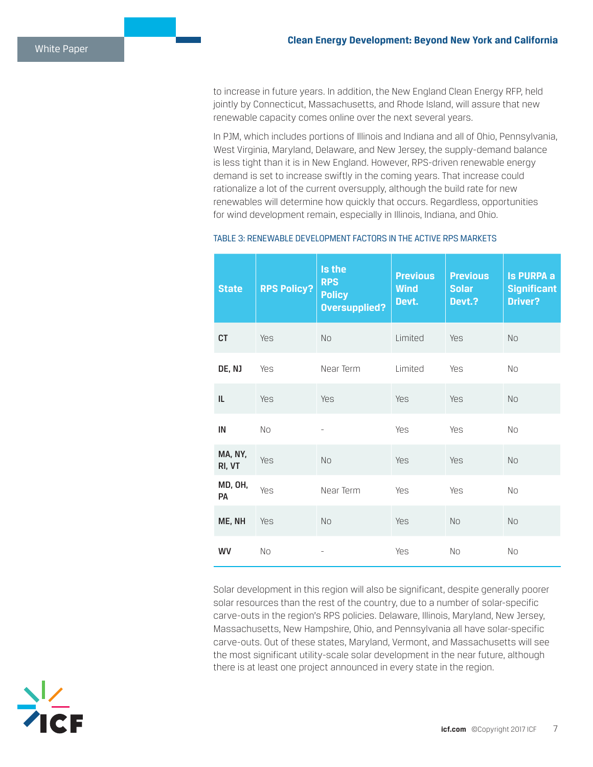to increase in future years. In addition, the New England Clean Energy RFP, held jointly by Connecticut, Massachusetts, and Rhode Island, will assure that new renewable capacity comes online over the next several years.

In PJM, which includes portions of Illinois and Indiana and all of Ohio, Pennsylvania, West Virginia, Maryland, Delaware, and New Jersey, the supply-demand balance is less tight than it is in New England. However, RPS-driven renewable energy demand is set to increase swiftly in the coming years. That increase could rationalize a lot of the current oversupply, although the build rate for new renewables will determine how quickly that occurs. Regardless, opportunities for wind development remain, especially in Illinois, Indiana, and Ohio.

| <b>State</b>      | <b>RPS Policy?</b> | Is the<br><b>RPS</b><br><b>Policy</b><br>Oversupplied? | <b>Previous</b><br><b>Wind</b><br>Devt. | <b>Previous</b><br><b>Solar</b><br>Devt.? | <b>Is PURPA a</b><br><b>Significant</b><br>Driver? |
|-------------------|--------------------|--------------------------------------------------------|-----------------------------------------|-------------------------------------------|----------------------------------------------------|
| <b>CT</b>         | Yes                | <b>No</b>                                              | Limited                                 | Yes                                       | <b>No</b>                                          |
| DE, NJ            | Yes                | Near Term                                              | Limited                                 | Yes                                       | <b>No</b>                                          |
| IL                | Yes                | Yes                                                    | Yes                                     | Yes                                       | <b>No</b>                                          |
| IN                | <b>No</b>          |                                                        | Yes                                     | Yes                                       | <b>No</b>                                          |
| MA, NY,<br>RI, VT | Yes                | No                                                     | Yes                                     | Yes                                       | <b>No</b>                                          |
| MD, OH,<br>PA     | Yes                | Near Term                                              | Yes                                     | Yes                                       | <b>No</b>                                          |
| ME, NH            | Yes                | <b>No</b>                                              | Yes                                     | <b>No</b>                                 | <b>No</b>                                          |
| WV                | <b>No</b>          |                                                        | Yes                                     | <b>No</b>                                 | <b>No</b>                                          |

#### TABLE 3: RENEWABLE DEVELOPMENT FACTORS IN THE ACTIVE RPS MARKETS

Solar development in this region will also be significant, despite generally poorer solar resources than the rest of the country, due to a number of solar-specific carve-outs in the region's RPS policies. Delaware, Illinois, Maryland, New Jersey, Massachusetts, New Hampshire, Ohio, and Pennsylvania all have solar-specific carve-outs. Out of these states, Maryland, Vermont, and Massachusetts will see the most significant utility-scale solar development in the near future, although there is at least one project announced in every state in the region.

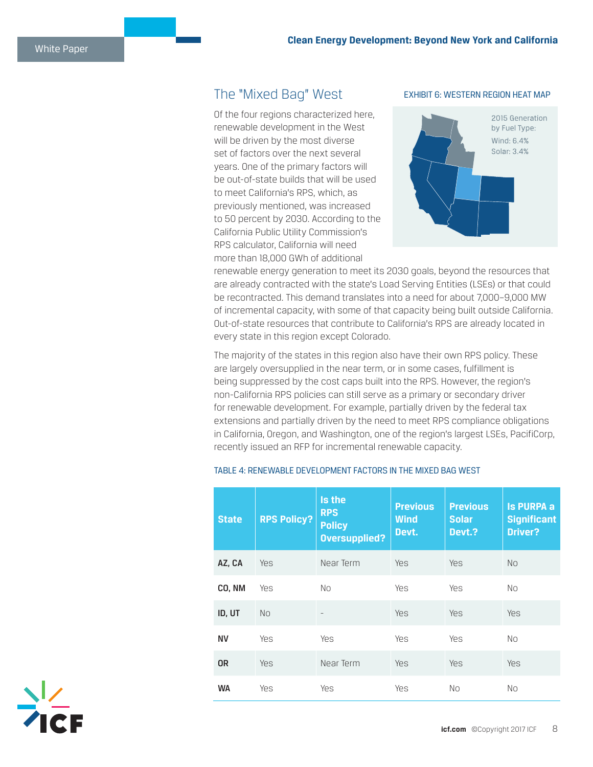## The "Mixed Bag" West

Of the four regions characterized here, renewable development in the West will be driven by the most diverse set of factors over the next several years. One of the primary factors will be out-of-state builds that will be used to meet California's RPS, which, as previously mentioned, was increased to 50 percent by 2030. According to the California Public Utility Commission's RPS calculator, California will need more than 18,000 GWh of additional

#### EXHIBIT 6: WESTERN REGION HEAT MAP



renewable energy generation to meet its 2030 goals, beyond the resources that are already contracted with the state's Load Serving Entities (LSEs) or that could be recontracted. This demand translates into a need for about 7,000–9,000 MW of incremental capacity, with some of that capacity being built outside California. Out-of-state resources that contribute to California's RPS are already located in every state in this region except Colorado.

The majority of the states in this region also have their own RPS policy. These are largely oversupplied in the near term, or in some cases, fulfillment is being suppressed by the cost caps built into the RPS. However, the region's non-California RPS policies can still serve as a primary or secondary driver for renewable development. For example, partially driven by the federal tax extensions and partially driven by the need to meet RPS compliance obligations in California, Oregon, and Washington, one of the region's largest LSEs, PacifiCorp, recently issued an RFP for incremental renewable capacity.

| <b>State</b> | <b>RPS Policy?</b> | Is the<br><b>RPS</b><br><b>Policy</b><br><b>Oversupplied?</b> | <b>Previous</b><br><b>Wind</b><br>Devt. | <b>Previous</b><br><b>Solar</b><br>Devt.? | <b>Is PURPA a</b><br><b>Significant</b><br><b>Driver?</b> |
|--------------|--------------------|---------------------------------------------------------------|-----------------------------------------|-------------------------------------------|-----------------------------------------------------------|
| AZ, CA       | <b>Yes</b>         | Near Term                                                     | <b>Yes</b>                              | Yes                                       | <b>No</b>                                                 |
| CO, NM       | Yes                | No.                                                           | Yes                                     | Yes                                       | No.                                                       |
| ID, UT       | <b>No</b>          |                                                               | <b>Yes</b>                              | Yes                                       | <b>Yes</b>                                                |
| ΝV           | Yes                | <b>Yes</b>                                                    | Yes                                     | <b>Yes</b>                                | No                                                        |
| <b>OR</b>    | Yes                | Near Term                                                     | Yes                                     | Yes                                       | <b>Yes</b>                                                |
| <b>WA</b>    | Yes                | Yes                                                           | Yes                                     | No                                        | No                                                        |

#### TABLE 4: RENEWABLE DEVELOPMENT FACTORS IN THE MIXED BAG WEST